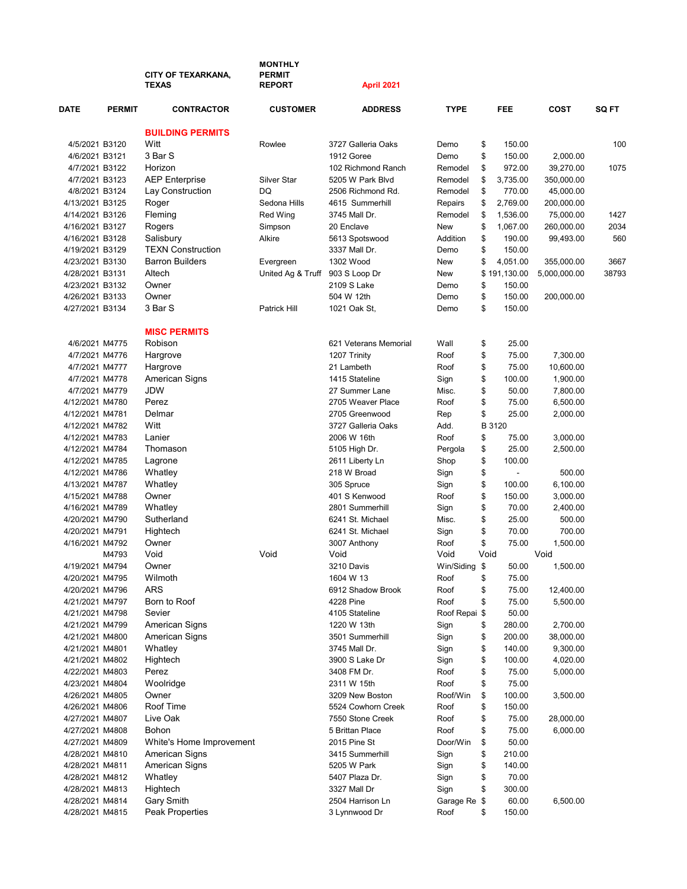|                                    |               | <b>CITY OF TEXARKANA,</b><br><b>TEXAS</b> | <b>MONTHLY</b><br><b>PERMIT</b><br><b>REPORT</b> | April 2021                      |                 |          |                        |              |             |
|------------------------------------|---------------|-------------------------------------------|--------------------------------------------------|---------------------------------|-----------------|----------|------------------------|--------------|-------------|
| <b>DATE</b>                        | <b>PERMIT</b> | <b>CONTRACTOR</b>                         | <b>CUSTOMER</b>                                  | <b>ADDRESS</b>                  | <b>TYPE</b>     |          | <b>FEE</b>             | <b>COST</b>  | SQ FT       |
|                                    |               | <b>BUILDING PERMITS</b>                   |                                                  |                                 |                 |          |                        |              |             |
| 4/5/2021 B3120                     |               | Witt                                      | Rowlee                                           | 3727 Galleria Oaks              | Demo            | \$       | 150.00                 |              | 100         |
| 4/6/2021 B3121                     |               | 3 Bar S                                   |                                                  | 1912 Goree                      | Demo            | \$       | 150.00                 | 2,000.00     |             |
| 4/7/2021 B3122                     |               | Horizon                                   |                                                  | 102 Richmond Ranch              | Remodel         | \$       | 972.00                 | 39,270.00    | 1075        |
| 4/7/2021 B3123                     |               | <b>AEP Enterprise</b>                     | <b>Silver Star</b>                               | 5205 W Park Blvd                | Remodel         | \$       | 3,735.00               | 350,000.00   |             |
| 4/8/2021 B3124                     |               | Lay Construction                          | DQ                                               | 2506 Richmond Rd.               | Remodel         | \$       | 770.00                 | 45,000.00    |             |
| 4/13/2021 B3125                    |               | Roger                                     | Sedona Hills                                     | 4615 Summerhill                 | Repairs         | \$       | 2,769.00               | 200,000.00   |             |
| 4/14/2021 B3126                    |               | Fleming                                   | <b>Red Wing</b>                                  | 3745 Mall Dr.                   | Remodel         | \$       | 1,536.00               | 75,000.00    | 1427        |
| 4/16/2021 B3127                    |               | Rogers                                    | Simpson                                          | 20 Enclave                      | New<br>Addition | \$       | 1,067.00               | 260,000.00   | 2034<br>560 |
| 4/16/2021 B3128<br>4/19/2021 B3129 |               | Salisbury<br><b>TEXN Construction</b>     | Alkire                                           | 5613 Spotswood<br>3337 Mall Dr. | Demo            | \$<br>\$ | 190.00<br>150.00       | 99,493.00    |             |
|                                    |               | <b>Barron Builders</b>                    |                                                  | 1302 Wood                       | New             | \$       | 4,051.00               |              | 3667        |
| 4/23/2021 B3130                    |               | Altech                                    | Evergreen                                        |                                 | New             |          |                        | 355,000.00   | 38793       |
| 4/28/2021 B3131<br>4/23/2021 B3132 |               | Owner                                     | United Ag & Truff                                | 903 S Loop Dr<br>2109 S Lake    | Demo            | \$       | \$191,130.00<br>150.00 | 5,000,000.00 |             |
| 4/26/2021 B3133                    |               | Owner                                     |                                                  | 504 W 12th                      | Demo            | \$       | 150.00                 | 200,000.00   |             |
| 4/27/2021 B3134                    |               | 3 Bar S                                   | Patrick Hill                                     | 1021 Oak St,                    | Demo            | \$       | 150.00                 |              |             |
|                                    |               |                                           |                                                  |                                 |                 |          |                        |              |             |
|                                    |               | <b>MISC PERMITS</b>                       |                                                  |                                 |                 |          |                        |              |             |
| 4/6/2021 M4775                     |               | Robison                                   |                                                  | 621 Veterans Memorial           | Wall            | \$       | 25.00                  |              |             |
| 4/7/2021 M4776                     |               | Hargrove                                  |                                                  | 1207 Trinity                    | Roof            | \$       | 75.00                  | 7,300.00     |             |
| 4/7/2021 M4777                     |               | Hargrove                                  |                                                  | 21 Lambeth                      | Roof            | \$       | 75.00                  | 10,600.00    |             |
| 4/7/2021 M4778                     |               | American Signs                            |                                                  | 1415 Stateline                  | Sign            | \$       | 100.00                 | 1,900.00     |             |
| 4/7/2021 M4779                     |               | <b>JDW</b>                                |                                                  | 27 Summer Lane                  | Misc.           | \$       | 50.00                  | 7,800.00     |             |
| 4/12/2021 M4780                    |               | Perez                                     |                                                  | 2705 Weaver Place               | Roof            | \$       | 75.00                  | 6,500.00     |             |
| 4/12/2021 M4781                    |               | Delmar                                    |                                                  | 2705 Greenwood                  | Rep             | \$       | 25.00                  | 2,000.00     |             |
| 4/12/2021 M4782                    |               | Witt<br>Lanier                            |                                                  | 3727 Galleria Oaks              | Add.<br>Roof    | B 3120   |                        |              |             |
| 4/12/2021 M4783                    |               | Thomason                                  |                                                  | 2006 W 16th                     |                 | \$<br>\$ | 75.00                  | 3,000.00     |             |
| 4/12/2021 M4784                    |               |                                           |                                                  | 5105 High Dr.                   | Pergola         | \$       | 25.00<br>100.00        | 2,500.00     |             |
| 4/12/2021 M4785<br>4/12/2021 M4786 |               | Lagrone<br>Whatley                        |                                                  | 2611 Liberty Ln<br>218 W Broad  | Shop<br>Sign    | \$       | $\overline{a}$         | 500.00       |             |
| 4/13/2021 M4787                    |               | Whatley                                   |                                                  | 305 Spruce                      | Sign            | \$       | 100.00                 | 6,100.00     |             |
| 4/15/2021 M4788                    |               | Owner                                     |                                                  | 401 S Kenwood                   | Roof            | \$       | 150.00                 | 3,000.00     |             |
| 4/16/2021 M4789                    |               | Whatley                                   |                                                  | 2801 Summerhill                 | Sign            | \$       | 70.00                  | 2,400.00     |             |
| 4/20/2021 M4790                    |               | Sutherland                                |                                                  | 6241 St. Michael                | Misc.           | \$       | 25.00                  | 500.00       |             |
| 4/20/2021 M4791                    |               | Hightech                                  |                                                  | 6241 St. Michael                | Sign            | \$       | 70.00                  | 700.00       |             |
| 4/16/2021 M4792                    |               | Owner                                     |                                                  | 3007 Anthony                    | Roof            | \$       | 75.00                  | 1,500.00     |             |
|                                    | M4793         | Void                                      | Void                                             | Void                            | Void            | Void     |                        | Void         |             |
| 4/19/2021 M4794                    |               | Owner                                     |                                                  | 3210 Davis                      | Win/Siding \$   |          | 50.00                  | 1,500.00     |             |
| 4/20/2021 M4795                    |               | Wilmoth                                   |                                                  | 1604 W 13                       | Roof            | \$       | 75.00                  |              |             |
| 4/20/2021 M4796                    |               | ARS                                       |                                                  | 6912 Shadow Brook               | Roof            | \$       | 75.00                  | 12,400.00    |             |
| 4/21/2021 M4797                    |               | Born to Roof                              |                                                  | 4228 Pine                       | Roof            | \$       | 75.00                  | 5,500.00     |             |
| 4/21/2021 M4798                    |               | Sevier                                    |                                                  | 4105 Stateline                  | Roof Repai \$   |          | 50.00                  |              |             |
| 4/21/2021 M4799                    |               | <b>American Signs</b>                     |                                                  | 1220 W 13th                     | Sign            | \$       | 280.00                 | 2,700.00     |             |
| 4/21/2021 M4800                    |               | American Signs                            |                                                  | 3501 Summerhill                 | Sign            | \$       | 200.00                 | 38,000.00    |             |
| 4/21/2021 M4801                    |               | Whatley                                   |                                                  | 3745 Mall Dr.                   | Sign            | \$       | 140.00                 | 9,300.00     |             |
| 4/21/2021 M4802                    |               | Hightech                                  |                                                  | 3900 S Lake Dr                  | Sign            | \$       | 100.00                 | 4,020.00     |             |
| 4/22/2021 M4803                    |               | Perez                                     |                                                  | 3408 FM Dr.                     | Roof            | \$       | 75.00                  | 5,000.00     |             |
| 4/23/2021 M4804                    |               | Woolridge                                 |                                                  | 2311 W 15th                     | Roof            | \$       | 75.00                  |              |             |
| 4/26/2021 M4805                    |               | Owner                                     |                                                  | 3209 New Boston                 | Roof/Win        | \$       | 100.00                 | 3,500.00     |             |
| 4/26/2021 M4806                    |               | Roof Time                                 |                                                  | 5524 Cowhorn Creek              | Roof            | \$       | 150.00                 |              |             |
| 4/27/2021 M4807                    |               | Live Oak                                  |                                                  | 7550 Stone Creek                | Roof            | \$       | 75.00                  | 28,000.00    |             |
| 4/27/2021 M4808                    |               | Bohon                                     |                                                  | 5 Brittan Place                 | Roof            | \$       | 75.00                  | 6,000.00     |             |
| 4/27/2021 M4809                    |               | White's Home Improvement                  |                                                  | 2015 Pine St                    | Door/Win        | \$       | 50.00                  |              |             |
| 4/28/2021 M4810                    |               | American Signs                            |                                                  | 3415 Summerhill                 | Sign            | \$       | 210.00                 |              |             |
| 4/28/2021 M4811                    |               | <b>American Signs</b>                     |                                                  | 5205 W Park                     | Sign            | \$       | 140.00                 |              |             |
| 4/28/2021 M4812                    |               | Whatley                                   |                                                  | 5407 Plaza Dr.                  | Sign            | \$       | 70.00                  |              |             |
| 4/28/2021 M4813                    |               | Hightech                                  |                                                  | 3327 Mall Dr                    | Sign            | \$       | 300.00                 |              |             |
| 4/28/2021 M4814                    |               | Gary Smith                                |                                                  | 2504 Harrison Ln                | Garage Re \$    |          | 60.00                  | 6,500.00     |             |
| 4/28/2021 M4815                    |               | Peak Properties                           |                                                  | 3 Lynnwood Dr                   | Roof            | \$       | 150.00                 |              |             |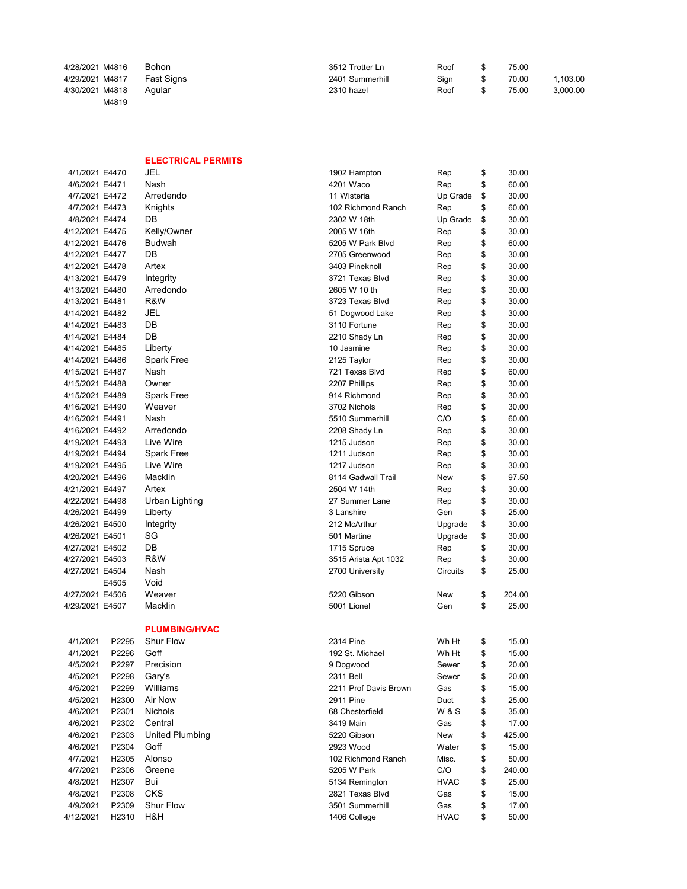| 4/28/2021 M4816 | <b>Bohon</b>      | 3512 Trotter Ln | Roof | 75.00 |          |
|-----------------|-------------------|-----------------|------|-------|----------|
| 4/29/2021 M4817 | <b>Fast Signs</b> | 2401 Summerhill | Sian | 70.00 | 1.103.00 |
| 4/30/2021 M4818 | Aqular            | 2310 hazel      | Roof | 75.00 | 3.000.00 |
| M4819           |                   |                 |      |       |          |

## ELECTRICAL PERMITS

| 4/1/2021 E4470  |                   | JEL                  | 1902 Hampton          | Rep            | \$<br>30.00  |
|-----------------|-------------------|----------------------|-----------------------|----------------|--------------|
| 4/6/2021 E4471  |                   | Nash                 | 4201 Waco             | Rep            | \$<br>60.00  |
| 4/7/2021 E4472  |                   | Arredendo            | 11 Wisteria           | Up Grade       | \$<br>30.00  |
| 4/7/2021 E4473  |                   | Knights              | 102 Richmond Ranch    | Rep            | \$<br>60.00  |
| 4/8/2021 E4474  |                   | DB                   | 2302 W 18th           | Up Grade       | \$<br>30.00  |
| 4/12/2021 E4475 |                   | Kelly/Owner          | 2005 W 16th           | Rep            | \$<br>30.00  |
| 4/12/2021 E4476 |                   | <b>Budwah</b>        | 5205 W Park Blvd      | Rep            | \$<br>60.00  |
| 4/12/2021 E4477 |                   | DB                   | 2705 Greenwood        | Rep            | \$<br>30.00  |
| 4/12/2021 E4478 |                   | Artex                | 3403 Pineknoll        | Rep            | \$<br>30.00  |
| 4/13/2021 E4479 |                   | Integrity            | 3721 Texas Blvd       | Rep            | \$<br>30.00  |
| 4/13/2021 E4480 |                   | Arredondo            | 2605 W 10 th          | Rep            | \$<br>30.00  |
| 4/13/2021 E4481 |                   | R&W                  | 3723 Texas Blvd       | Rep            | \$<br>30.00  |
| 4/14/2021 E4482 |                   | JEL                  | 51 Dogwood Lake       | Rep            | \$<br>30.00  |
| 4/14/2021 E4483 |                   | DB                   | 3110 Fortune          | Rep            | \$<br>30.00  |
| 4/14/2021 E4484 |                   | DB                   | 2210 Shady Ln         | Rep            | \$<br>30.00  |
| 4/14/2021 E4485 |                   | Liberty              | 10 Jasmine            | Rep            | \$<br>30.00  |
| 4/14/2021 E4486 |                   | Spark Free           | 2125 Taylor           | Rep            | \$<br>30.00  |
| 4/15/2021 E4487 |                   | Nash                 | 721 Texas Blvd        | Rep            | \$<br>60.00  |
| 4/15/2021 E4488 |                   | Owner                | 2207 Phillips         | Rep            | \$<br>30.00  |
| 4/15/2021 E4489 |                   | Spark Free           | 914 Richmond          | Rep            | \$<br>30.00  |
| 4/16/2021 E4490 |                   | Weaver               | 3702 Nichols          | Rep            | \$<br>30.00  |
| 4/16/2021 E4491 |                   | Nash                 | 5510 Summerhill       | C/O            | \$<br>60.00  |
| 4/16/2021 E4492 |                   | Arredondo            | 2208 Shady Ln         | Rep            | \$<br>30.00  |
| 4/19/2021 E4493 |                   | Live Wire            | 1215 Judson           | Rep            | \$<br>30.00  |
| 4/19/2021 E4494 |                   | Spark Free           | 1211 Judson           | Rep            | \$<br>30.00  |
| 4/19/2021 E4495 |                   | Live Wire            | 1217 Judson           | Rep            | \$<br>30.00  |
| 4/20/2021 E4496 |                   | Macklin              | 8114 Gadwall Trail    | New            | \$<br>97.50  |
| 4/21/2021 E4497 |                   | Artex                | 2504 W 14th           | Rep            | \$<br>30.00  |
| 4/22/2021 E4498 |                   | Urban Lighting       | 27 Summer Lane        | Rep            | \$<br>30.00  |
| 4/26/2021 E4499 |                   | Liberty              | 3 Lanshire            | Gen            | \$<br>25.00  |
| 4/26/2021 E4500 |                   | Integrity            | 212 McArthur          | Upgrade        | \$<br>30.00  |
| 4/26/2021 E4501 |                   | SG                   | 501 Martine           | Upgrade        | \$<br>30.00  |
| 4/27/2021 E4502 |                   | DB                   | 1715 Spruce           | Rep            | \$<br>30.00  |
| 4/27/2021 E4503 |                   | R&W                  | 3515 Arista Apt 1032  | Rep            | \$<br>30.00  |
| 4/27/2021 E4504 |                   | Nash                 | 2700 University       | Circuits       | \$<br>25.00  |
|                 | E4505             | Void                 |                       |                |              |
| 4/27/2021 E4506 |                   | Weaver               | 5220 Gibson           | New            | \$<br>204.00 |
| 4/29/2021 E4507 |                   | Macklin              | 5001 Lionel           | Gen            | \$<br>25.00  |
|                 |                   |                      |                       |                |              |
|                 |                   | <b>PLUMBING/HVAC</b> |                       |                |              |
| 4/1/2021        | P2295             | <b>Shur Flow</b>     | 2314 Pine             | Wh Ht          | \$<br>15.00  |
| 4/1/2021        | P2296             | Goff                 | 192 St. Michael       | Wh Ht          | \$<br>15.00  |
| 4/5/2021        | P2297             | Precision            | 9 Dogwood             | Sewer          | \$<br>20.00  |
| 4/5/2021        | P2298             | Gary's               | 2311 Bell             | Sewer          | \$<br>20.00  |
| 4/5/2021        | P2299             | Williams             | 2211 Prof Davis Brown | Gas            | \$<br>15.00  |
| 4/5/2021        | H2300             | Air Now              | 2911 Pine             | Duct           | \$<br>25.00  |
| 4/6/2021        | P2301             | Nichols              | 68 Chesterfield       | <b>W&amp;S</b> | \$<br>35.00  |
| 4/6/2021        | P2302             | Central              | 3419 Main             | Gas            | \$<br>17.00  |
| 4/6/2021        | P2303             | United Plumbing      | 5220 Gibson           | New            | \$<br>425.00 |
| 4/6/2021        | P2304             | Goff                 | 2923 Wood             | Water          | \$<br>15.00  |
| 4/7/2021        | H <sub>2305</sub> | Alonso               | 102 Richmond Ranch    | Misc.          | \$<br>50.00  |
| 4/7/2021        | P2306             | Greene               | 5205 W Park           | C/O            | \$<br>240.00 |
| 4/8/2021        | H <sub>2307</sub> | Bui                  | 5134 Remington        | <b>HVAC</b>    | \$<br>25.00  |
| 4/8/2021        | P2308             | CKS                  | 2821 Texas Blvd       | Gas            | \$<br>15.00  |
| 4/9/2021        | P2309             | <b>Shur Flow</b>     | 3501 Summerhill       | Gas            | \$<br>17.00  |
| 4/12/2021       | H2310             | H&H                  | 1406 College          | <b>HVAC</b>    | \$<br>50.00  |
|                 |                   |                      |                       |                |              |